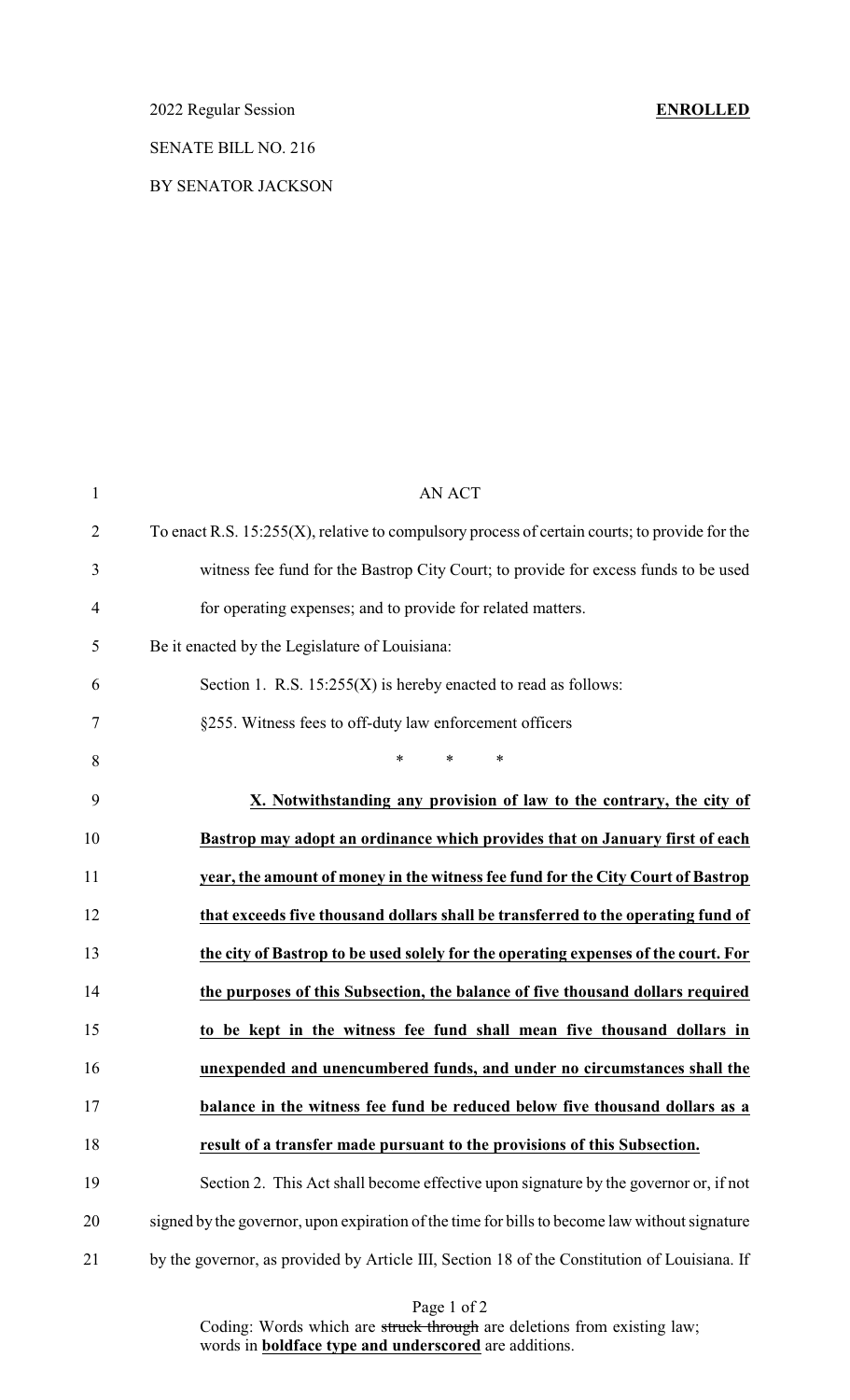### 2022 Regular Session **ENROLLED**

## SENATE BILL NO. 216

### BY SENATOR JACKSON

| $\mathbf{1}$   | <b>AN ACT</b>                                                                                    |
|----------------|--------------------------------------------------------------------------------------------------|
| $\overline{2}$ | To enact R.S. $15:255(X)$ , relative to compulsory process of certain courts; to provide for the |
| 3              | witness fee fund for the Bastrop City Court; to provide for excess funds to be used              |
| $\overline{4}$ | for operating expenses; and to provide for related matters.                                      |
| 5              | Be it enacted by the Legislature of Louisiana:                                                   |
| 6              | Section 1. R.S. $15:255(X)$ is hereby enacted to read as follows:                                |
| 7              | §255. Witness fees to off-duty law enforcement officers                                          |
| 8              | $\ast$<br>$\ast$<br>$\ast$                                                                       |
| 9              | X. Notwithstanding any provision of law to the contrary, the city of                             |
| 10             | Bastrop may adopt an ordinance which provides that on January first of each                      |
| 11             | year, the amount of money in the witness fee fund for the City Court of Bastrop                  |
| 12             | that exceeds five thousand dollars shall be transferred to the operating fund of                 |
| 13             | the city of Bastrop to be used solely for the operating expenses of the court. For               |
| 14             | the purposes of this Subsection, the balance of five thousand dollars required                   |
| 15             | to be kept in the witness fee fund shall mean five thousand dollars in                           |
| 16             | unexpended and unencumbered funds, and under no circumstances shall the                          |
| 17             | balance in the witness fee fund be reduced below five thousand dollars as a                      |
| 18             | result of a transfer made pursuant to the provisions of this Subsection.                         |
| 19             | Section 2. This Act shall become effective upon signature by the governor or, if not             |
| 20             | signed by the governor, upon expiration of the time for bills to become law without signature    |
| 21             | by the governor, as provided by Article III, Section 18 of the Constitution of Louisiana. If     |

Page 1 of 2

Coding: Words which are struck through are deletions from existing law; words in **boldface type and underscored** are additions.